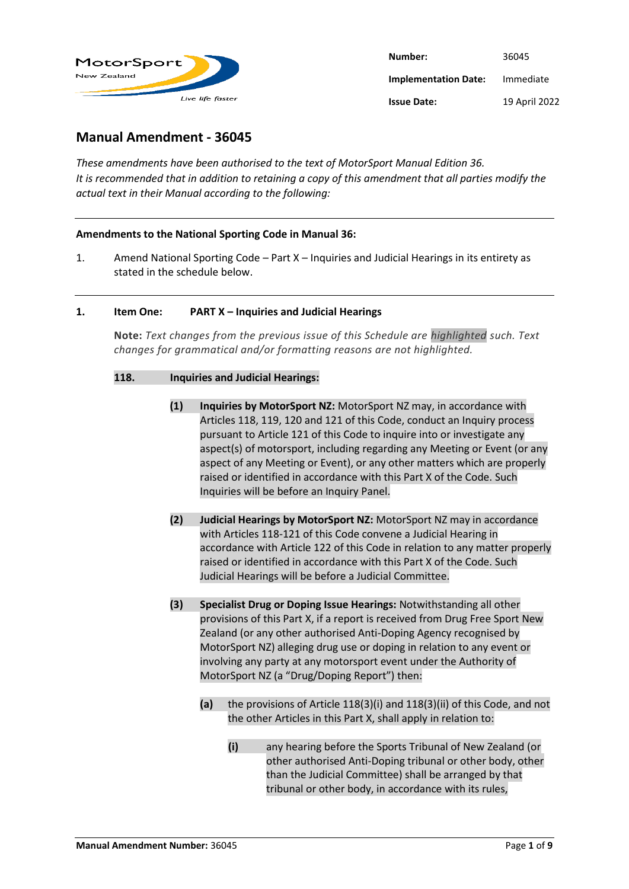

| Number:                     | 36045         |
|-----------------------------|---------------|
| <b>Implementation Date:</b> | Immediate     |
| <b>Issue Date:</b>          | 19 April 2022 |

# **Manual Amendment - 36045**

*These amendments have been authorised to the text of MotorSport Manual Edition 36. It is recommended that in addition to retaining a copy of this amendment that all parties modify the actual text in their Manual according to the following:*

# **Amendments to the National Sporting Code in Manual 36:**

1. Amend National Sporting Code – Part X – Inquiries and Judicial Hearings in its entirety as stated in the schedule below.

#### **1. Item One: PART X – Inquiries and Judicial Hearings**

**Note:** *Text changes from the previous issue of this Schedule are highlighted such. Text changes for grammatical and/or formatting reasons are not highlighted.*

### **118. Inquiries and Judicial Hearings:**

- **(1) Inquiries by MotorSport NZ:** MotorSport NZ may, in accordance with Articles 118, 119, 120 and 121 of this Code, conduct an Inquiry process pursuant to Article 121 of this Code to inquire into or investigate any aspect(s) of motorsport, including regarding any Meeting or Event (or any aspect of any Meeting or Event), or any other matters which are properly raised or identified in accordance with this Part X of the Code. Such Inquiries will be before an Inquiry Panel.
- **(2) Judicial Hearings by MotorSport NZ:** MotorSport NZ may in accordance with Articles 118-121 of this Code convene a Judicial Hearing in accordance with Article 122 of this Code in relation to any matter properly raised or identified in accordance with this Part X of the Code. Such Judicial Hearings will be before a Judicial Committee.
- **(3) Specialist Drug or Doping Issue Hearings:** Notwithstanding all other provisions of this Part X, if a report is received from Drug Free Sport New Zealand (or any other authorised Anti-Doping Agency recognised by MotorSport NZ) alleging drug use or doping in relation to any event or involving any party at any motorsport event under the Authority of MotorSport NZ (a "Drug/Doping Report") then:
	- **(a)** the provisions of Article 118(3)(i) and 118(3)(ii) of this Code, and not the other Articles in this Part X, shall apply in relation to:
		- **(i)** any hearing before the Sports Tribunal of New Zealand (or other authorised Anti-Doping tribunal or other body, other than the Judicial Committee) shall be arranged by that tribunal or other body, in accordance with its rules,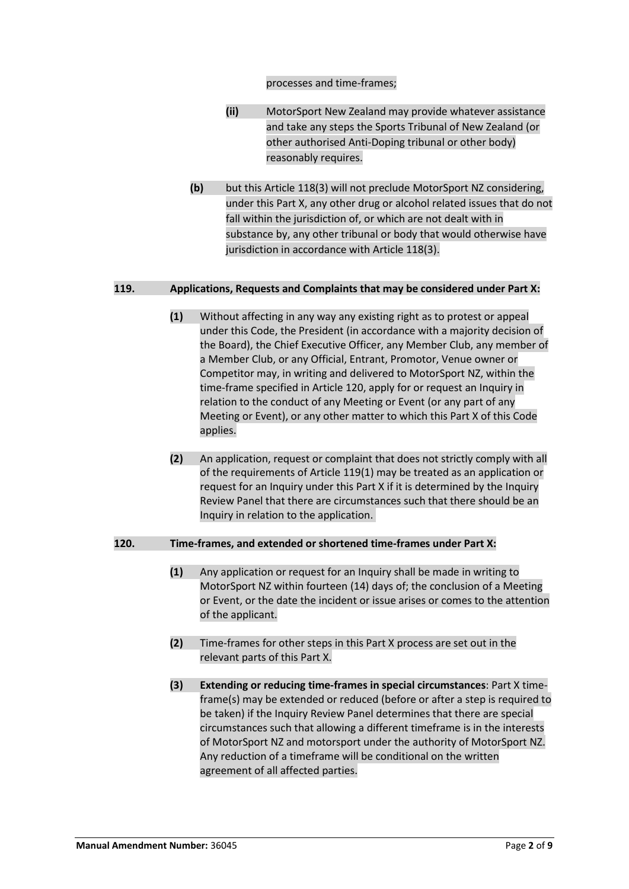#### processes and time-frames;

- **(ii)** MotorSport New Zealand may provide whatever assistance and take any steps the Sports Tribunal of New Zealand (or other authorised Anti-Doping tribunal or other body) reasonably requires.
- **(b)** but this Article 118(3) will not preclude MotorSport NZ considering, under this Part X, any other drug or alcohol related issues that do not fall within the jurisdiction of, or which are not dealt with in substance by, any other tribunal or body that would otherwise have jurisdiction in accordance with Article 118(3).

#### **119. Applications, Requests and Complaints that may be considered under Part X:**

- **(1)** Without affecting in any way any existing right as to protest or appeal under this Code, the President (in accordance with a majority decision of the Board), the Chief Executive Officer, any Member Club, any member of a Member Club, or any Official, Entrant, Promotor, Venue owner or Competitor may, in writing and delivered to MotorSport NZ, within the time-frame specified in Article 120, apply for or request an Inquiry in relation to the conduct of any Meeting or Event (or any part of any Meeting or Event), or any other matter to which this Part X of this Code applies.
- **(2)** An application, request or complaint that does not strictly comply with all of the requirements of [Article 119\(1\)](https://manual.motorsport.org.nz/index.php/knowledgebase/36-0-10-nsc-part-x/#nsc119(1)) may be treated as an application or request for an Inquiry under this Part X if it is determined by the Inquiry Review Panel that there are circumstances such that there should be an Inquiry in relation to the application.

# **120. Time-frames, and extended or shortened time-frames under Part X:**

- **(1)** Any application or request for an Inquiry shall be made in writing to MotorSport NZ within fourteen (14) days of; the conclusion of a Meeting or Event, or the date the incident or issue arises or comes to the attention of the applicant.
- **(2)** Time-frames for other steps in this Part X process are set out in the relevant parts of this Part X.
- **(3) Extending or reducing time-frames in special circumstances**: Part X timeframe(s) may be extended or reduced (before or after a step is required to be taken) if the Inquiry Review Panel determines that there are special circumstances such that allowing a different timeframe is in the interests of MotorSport NZ and motorsport under the authority of MotorSport NZ. Any reduction of a timeframe will be conditional on the written agreement of all affected parties.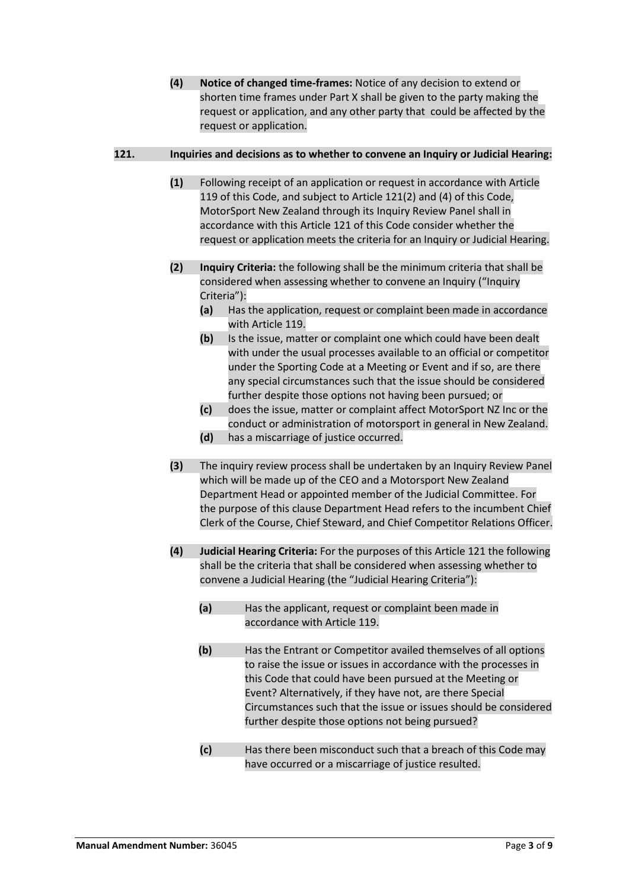**(4) Notice of changed time-frames:** Notice of any decision to extend or shorten time frames under Part X shall be given to the party making the request or application, and any other party that could be affected by the request or application.

# **121. Inquiries and decisions as to whether to convene an Inquiry or Judicial Hearing:**

- **(1)** Following receipt of an application or request in accordance with Article 119 of this Code, and subject to Article 121(2) and (4) of this Code, MotorSport New Zealand through its Inquiry Review Panel shall in accordance with this Article 121 of this Code consider whether the request or application meets the criteria for an Inquiry or Judicial Hearing.
- **(2) Inquiry Criteria:** the following shall be the minimum criteria that shall be considered when assessing whether to convene an Inquiry ("Inquiry Criteria"):
	- **(a)** Has the application, request or complaint been made in accordance with Article 119.
	- **(b)** Is the issue, matter or complaint one which could have been dealt with under the usual processes available to an official or competitor under the Sporting Code at a Meeting or Event and if so, are there any special circumstances such that the issue should be considered further despite those options not having been pursued; or
	- **(c)** does the issue, matter or complaint affect MotorSport NZ Inc or the conduct or administration of motorsport in general in New Zealand.
	- **(d)** has a miscarriage of justice occurred.
- **(3)** The inquiry review process shall be undertaken by an Inquiry Review Panel which will be made up of the CEO and a Motorsport New Zealand Department Head or appointed member of the Judicial Committee. For the purpose of this clause Department Head refers to the incumbent Chief Clerk of the Course, Chief Steward, and Chief Competitor Relations Officer.
- **(4) Judicial Hearing Criteria:** For the purposes of this Article 121 the following shall be the criteria that shall be considered when assessing whether to convene a Judicial Hearing (the "Judicial Hearing Criteria"):
	- **(a)** Has the applicant, request or complaint been made in accordance with Article 119.
	- **(b)** Has the Entrant or Competitor availed themselves of all options to raise the issue or issues in accordance with the processes in this Code that could have been pursued at the Meeting or Event? Alternatively, if they have not, are there Special Circumstances such that the issue or issues should be considered further despite those options not being pursued?
	- **(c)** Has there been misconduct such that a breach of this Code may have occurred or a miscarriage of justice resulted.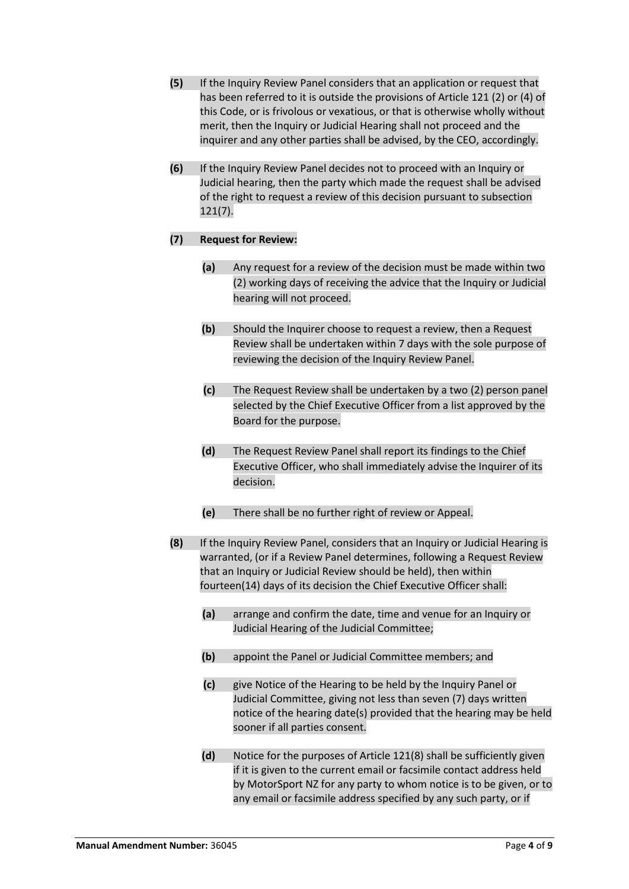- **(5)** If the Inquiry Review Panel considers that an application or request that has been referred to it is outside the provisions of Article 121 (2) or (4) of this Code, or is frivolous or vexatious, or that is otherwise wholly without merit, then the Inquiry or Judicial Hearing shall not proceed and the inquirer and any other parties shall be advised, by the CEO, accordingly.
- **(6)** If the Inquiry Review Panel decides not to proceed with an Inquiry or Judicial hearing, then the party which made the request shall be advised of the right to request a review of this decision pursuant to subsection 121(7).

# **(7) Request for Review:**

- **(a)** Any request for a review of the decision must be made within two (2) working days of receiving the advice that the Inquiry or Judicial hearing will not proceed.
- **(b)** Should the Inquirer choose to request a review, then a Request Review shall be undertaken within 7 days with the sole purpose of reviewing the decision of the Inquiry Review Panel.
- **(c)** The Request Review shall be undertaken by a two (2) person panel selected by the Chief Executive Officer from a list approved by the Board for the purpose.
- **(d)** The Request Review Panel shall report its findings to the Chief Executive Officer, who shall immediately advise the Inquirer of its decision.
- **(e)** There shall be no further right of review or Appeal.
- **(8)** If the Inquiry Review Panel, considers that an Inquiry or Judicial Hearing is warranted, (or if a Review Panel determines, following a Request Review that an Inquiry or Judicial Review should be held), then within fourteen(14) days of its decision the Chief Executive Officer shall:
	- **(a)** arrange and confirm the date, time and venue for an Inquiry or Judicial Hearing of the Judicial Committee;
	- **(b)** appoint the Panel or Judicial Committee members; and
	- **(c)** give Notice of the Hearing to be held by the Inquiry Panel or Judicial Committee, giving not less than seven (7) days written notice of the hearing date(s) provided that the hearing may be held sooner if all parties consent.
	- **(d)** Notice for the purposes of Article 121(8) shall be sufficiently given if it is given to the current email or facsimile contact address held by MotorSport NZ for any party to whom notice is to be given, or to any email or facsimile address specified by any such party, or if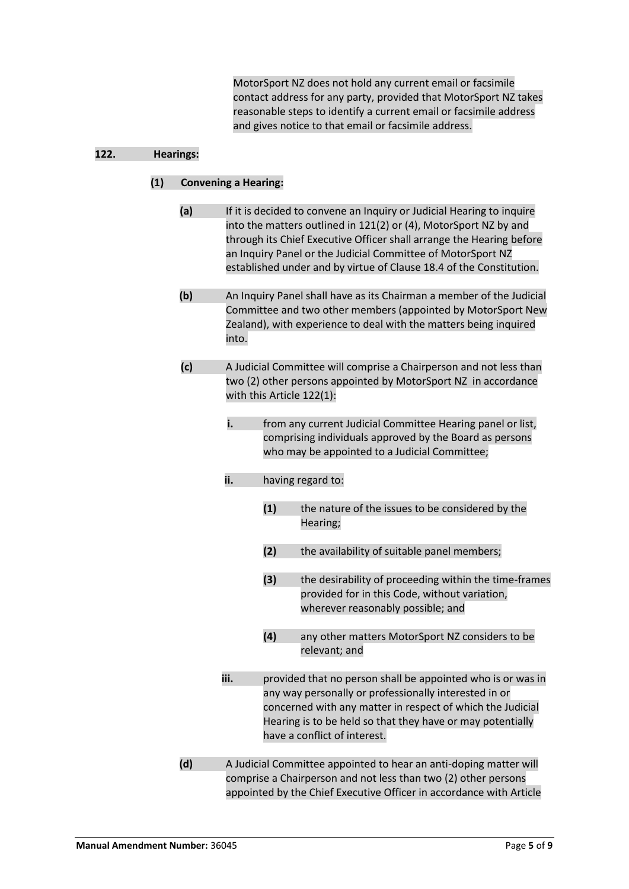MotorSport NZ does not hold any current email or facsimile contact address for any party, provided that MotorSport NZ takes reasonable steps to identify a current email or facsimile address and gives notice to that email or facsimile address.

# **122. Hearings:**

# **(1) Convening a Hearing:**

- **(a)** If it is decided to convene an Inquiry or Judicial Hearing to inquire into the matters outlined in 121(2) or (4), MotorSport NZ by and through its Chief Executive Officer shall arrange the Hearing before an Inquiry Panel or the Judicial Committee of MotorSport NZ established under and by virtue of Clause 18.4 of the Constitution.
- **(b)** An Inquiry Panel shall have as its Chairman a member of the Judicial Committee and two other members (appointed by MotorSport New Zealand), with experience to deal with the matters being inquired into.
- **(c)** A Judicial Committee will comprise a Chairperson and not less than two (2) other persons appointed by MotorSport NZ in accordance with this Article 122(1):
	- **i.** from any current Judicial Committee Hearing panel or list, comprising individuals approved by the Board as persons who may be appointed to a Judicial Committee;
	- **ii.** having regard to:
		- **(1)** the nature of the issues to be considered by the Hearing;
		- **(2)** the availability of suitable panel members;
		- **(3)** the desirability of proceeding within the time-frames provided for in this Code, without variation, wherever reasonably possible; and
		- **(4)** any other matters MotorSport NZ considers to be relevant; and
	- **iii.** provided that no person shall be appointed who is or was in any way personally or professionally interested in or concerned with any matter in respect of which the Judicial Hearing is to be held so that they have or may potentially have a conflict of interest.
- **(d)** A Judicial Committee appointed to hear an anti-doping matter will comprise a Chairperson and not less than two (2) other persons appointed by the Chief Executive Officer in accordance with Article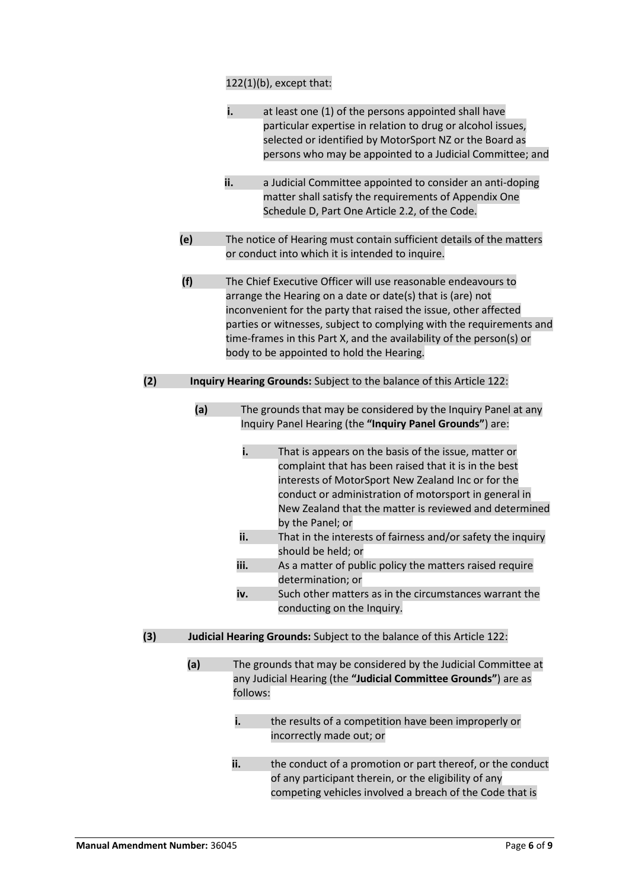# 122(1)(b), except that:

|     |     | i.                                                                                                                       | at least one (1) of the persons appointed shall have<br>particular expertise in relation to drug or alcohol issues,<br>selected or identified by MotorSport NZ or the Board as<br>persons who may be appointed to a Judicial Committee; and                                                                                                                                                                                                                                                                                                                                                                                                                                                                                                                                    |  |  |
|-----|-----|--------------------------------------------------------------------------------------------------------------------------|--------------------------------------------------------------------------------------------------------------------------------------------------------------------------------------------------------------------------------------------------------------------------------------------------------------------------------------------------------------------------------------------------------------------------------------------------------------------------------------------------------------------------------------------------------------------------------------------------------------------------------------------------------------------------------------------------------------------------------------------------------------------------------|--|--|
|     |     | ii.                                                                                                                      | a Judicial Committee appointed to consider an anti-doping<br>matter shall satisfy the requirements of Appendix One<br>Schedule D, Part One Article 2.2, of the Code.                                                                                                                                                                                                                                                                                                                                                                                                                                                                                                                                                                                                           |  |  |
|     | (e) | The notice of Hearing must contain sufficient details of the matters<br>or conduct into which it is intended to inquire. |                                                                                                                                                                                                                                                                                                                                                                                                                                                                                                                                                                                                                                                                                                                                                                                |  |  |
|     | (f) |                                                                                                                          | The Chief Executive Officer will use reasonable endeavours to<br>arrange the Hearing on a date or date(s) that is (are) not<br>inconvenient for the party that raised the issue, other affected<br>parties or witnesses, subject to complying with the requirements and<br>time-frames in this Part X, and the availability of the person(s) or<br>body to be appointed to hold the Hearing.                                                                                                                                                                                                                                                                                                                                                                                   |  |  |
| (2) |     |                                                                                                                          | Inquiry Hearing Grounds: Subject to the balance of this Article 122:                                                                                                                                                                                                                                                                                                                                                                                                                                                                                                                                                                                                                                                                                                           |  |  |
| (3) | (a) | i.<br>ii.<br>iii.<br>iv.                                                                                                 | The grounds that may be considered by the Inquiry Panel at any<br>Inquiry Panel Hearing (the "Inquiry Panel Grounds") are:<br>That is appears on the basis of the issue, matter or<br>complaint that has been raised that it is in the best<br>interests of MotorSport New Zealand Inc or for the<br>conduct or administration of motorsport in general in<br>New Zealand that the matter is reviewed and determined<br>by the Panel; or<br>That in the interests of fairness and/or safety the inquiry<br>should be held; or<br>As a matter of public policy the matters raised require<br>determination; or<br>Such other matters as in the circumstances warrant the<br>conducting on the Inquiry.<br>Judicial Hearing Grounds: Subject to the balance of this Article 122: |  |  |
|     |     |                                                                                                                          |                                                                                                                                                                                                                                                                                                                                                                                                                                                                                                                                                                                                                                                                                                                                                                                |  |  |
|     | (a) | follows:<br>i.<br>ii.                                                                                                    | The grounds that may be considered by the Judicial Committee at<br>any Judicial Hearing (the "Judicial Committee Grounds") are as<br>the results of a competition have been improperly or<br>incorrectly made out; or<br>the conduct of a promotion or part thereof, or the conduct<br>of any participant therein, or the eligibility of any                                                                                                                                                                                                                                                                                                                                                                                                                                   |  |  |
|     |     |                                                                                                                          | competing vehicles involved a breach of the Code that is                                                                                                                                                                                                                                                                                                                                                                                                                                                                                                                                                                                                                                                                                                                       |  |  |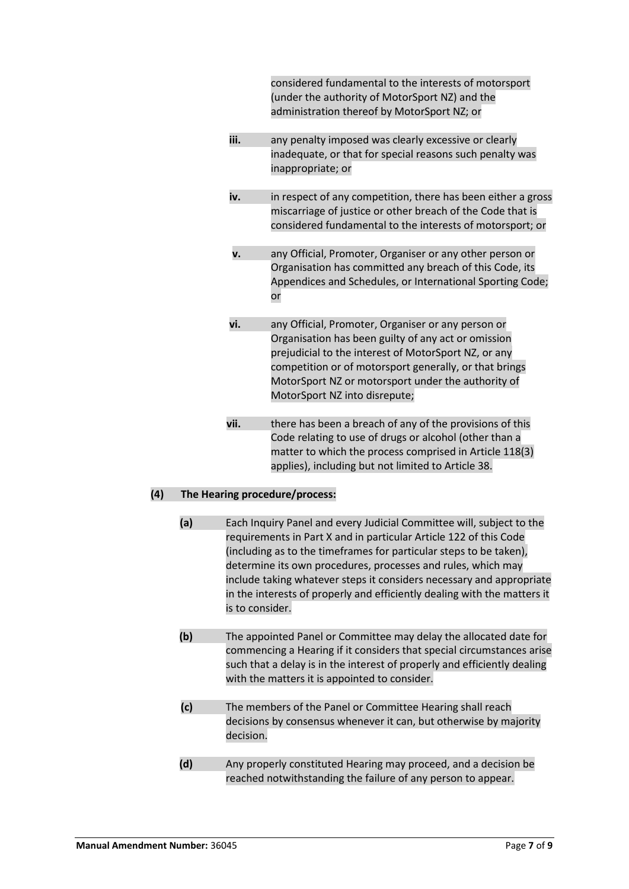|     |                                |                                                                                                                                                                                                                                                                         | considered fundamental to the interests of motorsport<br>(under the authority of MotorSport NZ) and the<br>administration thereof by MotorSport NZ; or                                                                                                                                                                                                                                                                              |  |
|-----|--------------------------------|-------------------------------------------------------------------------------------------------------------------------------------------------------------------------------------------------------------------------------------------------------------------------|-------------------------------------------------------------------------------------------------------------------------------------------------------------------------------------------------------------------------------------------------------------------------------------------------------------------------------------------------------------------------------------------------------------------------------------|--|
|     |                                | iii.                                                                                                                                                                                                                                                                    | any penalty imposed was clearly excessive or clearly<br>inadequate, or that for special reasons such penalty was<br>inappropriate; or                                                                                                                                                                                                                                                                                               |  |
|     |                                | iv.                                                                                                                                                                                                                                                                     | in respect of any competition, there has been either a gross<br>miscarriage of justice or other breach of the Code that is<br>considered fundamental to the interests of motorsport; or                                                                                                                                                                                                                                             |  |
|     |                                | v.                                                                                                                                                                                                                                                                      | any Official, Promoter, Organiser or any other person or<br>Organisation has committed any breach of this Code, its<br>Appendices and Schedules, or International Sporting Code;<br>or                                                                                                                                                                                                                                              |  |
|     |                                | vi.                                                                                                                                                                                                                                                                     | any Official, Promoter, Organiser or any person or<br>Organisation has been guilty of any act or omission<br>prejudicial to the interest of MotorSport NZ, or any<br>competition or of motorsport generally, or that brings<br>MotorSport NZ or motorsport under the authority of<br>MotorSport NZ into disrepute;                                                                                                                  |  |
|     |                                | vii.                                                                                                                                                                                                                                                                    | there has been a breach of any of the provisions of this<br>Code relating to use of drugs or alcohol (other than a<br>matter to which the process comprised in Article 118(3)<br>applies), including but not limited to Article 38.                                                                                                                                                                                                 |  |
| (4) | The Hearing procedure/process: |                                                                                                                                                                                                                                                                         |                                                                                                                                                                                                                                                                                                                                                                                                                                     |  |
|     | (a)<br>is to consider.         |                                                                                                                                                                                                                                                                         | Each Inquiry Panel and every Judicial Committee will, subject to the<br>requirements in Part X and in particular Article 122 of this Code<br>(including as to the timeframes for particular steps to be taken),<br>determine its own procedures, processes and rules, which may<br>include taking whatever steps it considers necessary and appropriate<br>in the interests of properly and efficiently dealing with the matters it |  |
|     | (b)                            | The appointed Panel or Committee may delay the allocated date for<br>commencing a Hearing if it considers that special circumstances arise<br>such that a delay is in the interest of properly and efficiently dealing<br>with the matters it is appointed to consider. |                                                                                                                                                                                                                                                                                                                                                                                                                                     |  |
|     | (c)                            | The members of the Panel or Committee Hearing shall reach<br>decisions by consensus whenever it can, but otherwise by majority<br>decision.                                                                                                                             |                                                                                                                                                                                                                                                                                                                                                                                                                                     |  |
|     | (d)                            |                                                                                                                                                                                                                                                                         | Any properly constituted Hearing may proceed, and a decision be<br>reached notwithstanding the failure of any person to appear.                                                                                                                                                                                                                                                                                                     |  |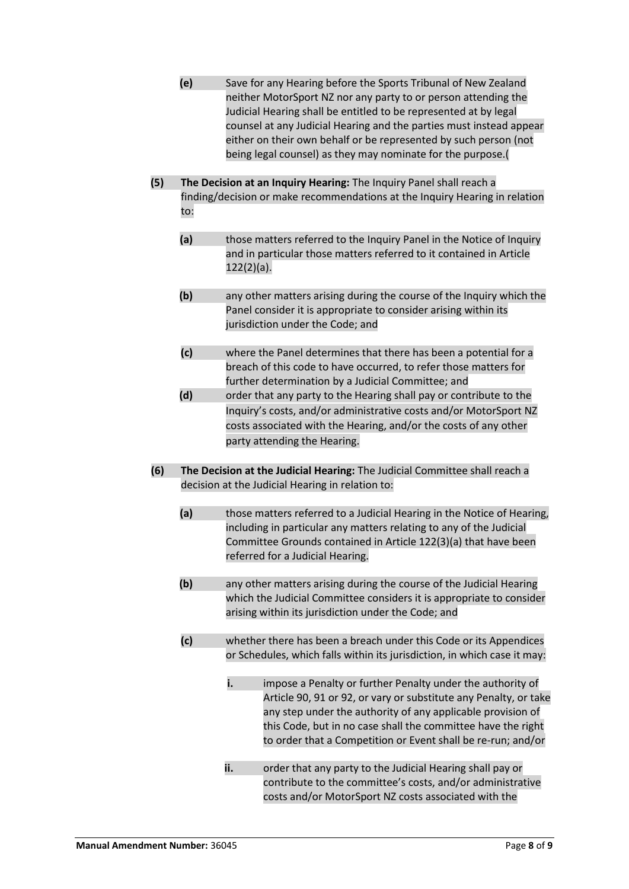- **(e)** Save for any Hearing before the Sports Tribunal of New Zealand neither MotorSport NZ nor any party to or person attending the Judicial Hearing shall be entitled to be represented at by legal counsel at any Judicial Hearing and the parties must instead appear either on their own behalf or be represented by such person (not being legal counsel) as they may nominate for the purpose.(
- **(5) The Decision at an Inquiry Hearing:** The Inquiry Panel shall reach a finding/decision or make recommendations at the Inquiry Hearing in relation to:
	- **(a)** those matters referred to the Inquiry Panel in the Notice of Inquiry and in particular those matters referred to it contained in Article 122(2)(a).
	- **(b)** any other matters arising during the course of the Inquiry which the Panel consider it is appropriate to consider arising within its jurisdiction under the Code; and
	- **(c)** where the Panel determines that there has been a potential for a breach of this code to have occurred, to refer those matters for further determination by a Judicial Committee; and
	- **(d)** order that any party to the Hearing shall pay or contribute to the Inquiry's costs, and/or administrative costs and/or MotorSport NZ costs associated with the Hearing, and/or the costs of any other party attending the Hearing.
- **(6) The Decision at the Judicial Hearing:** The Judicial Committee shall reach a decision at the Judicial Hearing in relation to:
	- **(a)** those matters referred to a Judicial Hearing in the Notice of Hearing, including in particular any matters relating to any of the Judicial Committee Grounds contained in Article 122(3)(a) that have been referred for a Judicial Hearing.
	- **(b)** any other matters arising during the course of the Judicial Hearing which the Judicial Committee considers it is appropriate to consider arising within its jurisdiction under the Code; and
	- **(c)** whether there has been a breach under this Code or its Appendices or Schedules, which falls within its jurisdiction, in which case it may:
		- **i.** impose a Penalty or further Penalty under the authority of Article 90, 91 or 92, or vary or substitute any Penalty, or take any step under the authority of any applicable provision of this Code, but in no case shall the committee have the right to order that a Competition or Event shall be re-run; and/or
		- **ii.** order that any party to the Judicial Hearing shall pay or contribute to the committee's costs, and/or administrative costs and/or MotorSport NZ costs associated with the